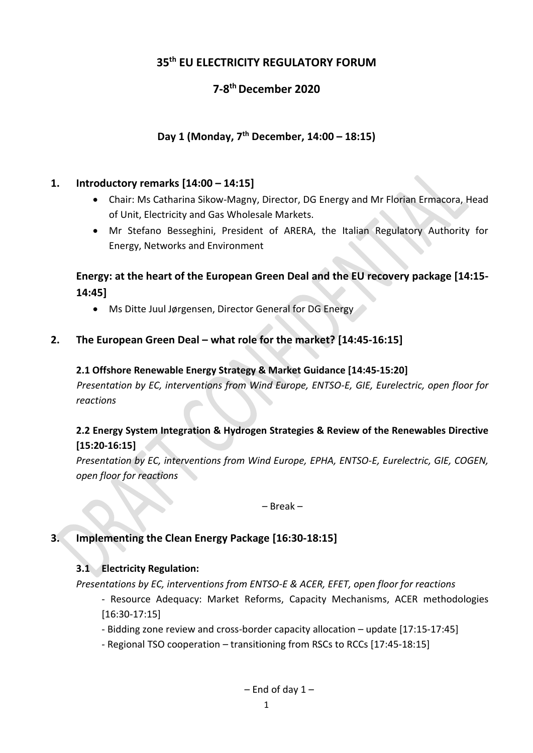# **35 th EU ELECTRICITY REGULATORY FORUM**

# **7-8 th December 2020**

## **Day 1 (Monday, 7 th December, 14:00 – 18:15)**

## **1. Introductory remarks [14:00 – 14:15]**

- Chair: Ms Catharina Sikow-Magny, Director, DG Energy and Mr Florian Ermacora, Head of Unit, Electricity and Gas Wholesale Markets.
- Mr Stefano Besseghini, President of ARERA, the Italian Regulatory Authority for Energy, Networks and Environment

## **Energy: at the heart of the European Green Deal and the EU recovery package [14:15- 14:45]**

Ms Ditte Juul Jørgensen, Director General for DG Energy

## **2. The European Green Deal – what role for the market? [14:45-16:15]**

#### **2.1 Offshore Renewable Energy Strategy & Market Guidance [14:45-15:20]**

*Presentation by EC, interventions from Wind Europe, ENTSO-E, GIE, Eurelectric, open floor for reactions*

#### **2.2 Energy System Integration & Hydrogen Strategies & Review of the Renewables Directive [15:20-16:15]**

*Presentation by EC, interventions from Wind Europe, EPHA, ENTSO-E, Eurelectric, GIE, COGEN, open floor for reactions*

– Break –

## **3. Implementing the Clean Energy Package [16:30-18:15]**

#### **3.1 Electricity Regulation:**

*Presentations by EC, interventions from ENTSO-E & ACER, EFET, open floor for reactions*

- Resource Adequacy: Market Reforms, Capacity Mechanisms, ACER methodologies [16:30-17:15]

- Bidding zone review and cross-border capacity allocation update [17:15-17:45]
- Regional TSO cooperation transitioning from RSCs to RCCs [17:45-18:15]